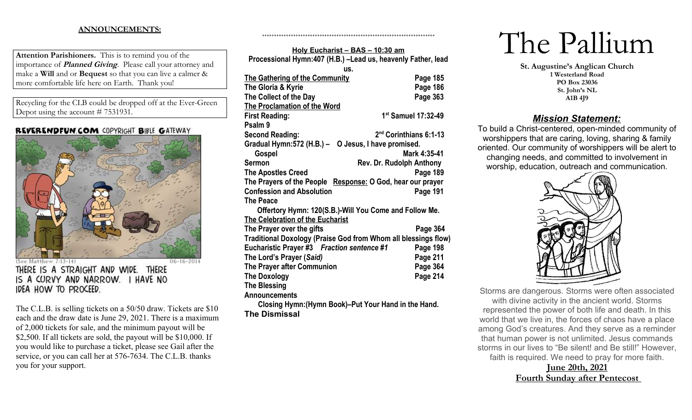## **ANNOUNCEMENTS:**

**Attention Parishioners.** This is to remind you of the importance of **Planned Giving**. Please call your attorney and make a **Will** and or **Bequest** so that you can live a calmer & more comfortable life here on Earth. Thank you!

Recycling for the CLB could be dropped off at the Ever-Green Depot using the account # 7531931.

## **REVERENDFUN COM COPYRIGHT BIBLE GATEWAY**



(atthew 7:13-14)  $06 - 16 - 2014$ THERE IS A STRAIGHT AND WIDE. THERE IS A CURVY AND NARROW. I HAVE NO IDEA HOW TO PROCEED.

The C.L.B. is selling tickets on a 50/50 draw. Tickets are \$10 each and the draw date is June 29, 2021. There is a maximum of 2,000 tickets for sale, and the minimum payout will be \$2,500. If all tickets are sold, the payout will be \$10,000. If you would like to purchase a ticket, please see Gail after the service, or you can call her at 576-7634. The C.L.B. thanks you for your support.

| Holy Eucharist - BAS - 10:30 am                                |                                    |  |  |  |
|----------------------------------------------------------------|------------------------------------|--|--|--|
| Processional Hymn:407 (H.B.) - Lead us, heavenly Father, lead  |                                    |  |  |  |
| US.                                                            |                                    |  |  |  |
| <b>The Gathering of the Community</b>                          | Page 185                           |  |  |  |
| The Gloria & Kyrie                                             | Page 186                           |  |  |  |
| The Collect of the Day                                         | Page 363                           |  |  |  |
| <b>The Proclamation of the Word</b>                            |                                    |  |  |  |
| <b>First Reading:</b>                                          | 1st Samuel 17:32-49                |  |  |  |
| Psalm 9                                                        |                                    |  |  |  |
| <b>Second Reading:</b>                                         | 2 <sup>nd</sup> Corinthians 6:1-13 |  |  |  |
| Gradual Hymn:572 (H.B.) - O Jesus, I have promised.            |                                    |  |  |  |
| Gospel                                                         | Mark 4:35-41                       |  |  |  |
| Sermon                                                         | Rev. Dr. Rudolph Anthony           |  |  |  |
| <b>The Apostles Creed</b>                                      | Page 189                           |  |  |  |
| The Prayers of the People Response: O God, hear our prayer     |                                    |  |  |  |
| <b>Confession and Absolution</b>                               | Page 191                           |  |  |  |
| <b>The Peace</b>                                               |                                    |  |  |  |
| Offertory Hymn: 120(S.B.)-Will You Come and Follow Me.         |                                    |  |  |  |
| <b>The Celebration of the Eucharist</b>                        |                                    |  |  |  |
| The Prayer over the gifts                                      | Page 364                           |  |  |  |
| Traditional Doxology (Praise God from Whom all blessings flow) |                                    |  |  |  |
| Eucharistic Prayer #3 Fraction sentence #1                     | Page 198                           |  |  |  |
| The Lord's Prayer (Said)                                       | Page 211                           |  |  |  |
| The Prayer after Communion                                     | Page 364                           |  |  |  |
| <b>The Doxology</b>                                            | Page 214                           |  |  |  |
| <b>The Blessing</b>                                            |                                    |  |  |  |
| <b>Announcements</b>                                           |                                    |  |  |  |
| Closing Hymn: (Hymn Book)-Put Your Hand in the Hand.           |                                    |  |  |  |

++++++++++++++++++++++++++++++++++++++++++++++++++++++++++++++++++++++++

**The Dismissal**

# The Pallium

**St. Augustine's Anglican Church 1 Westerland Road PO Box 23036 St. John's NL A1B 4J9**

# *Mission Statement:*

To build a Christ-centered, open-minded community of worshippers that are caring, loving, sharing & family oriented. Our community of worshippers will be alert to changing needs, and committed to involvement in worship, education, outreach and communication.



Storms are dangerous. Storms were often associated with divine activity in the ancient world. Storms represented the power of both life and death. In this world that we live in, the forces of chaos have a place among God's creatures. And they serve as a reminder that human power is not unlimited. Jesus commands storms in our lives to "Be silent! and Be still!" However, faith is required. We need to pray for more faith.

# **June 20th, 2021 Fourth Sunday after Pentecost**